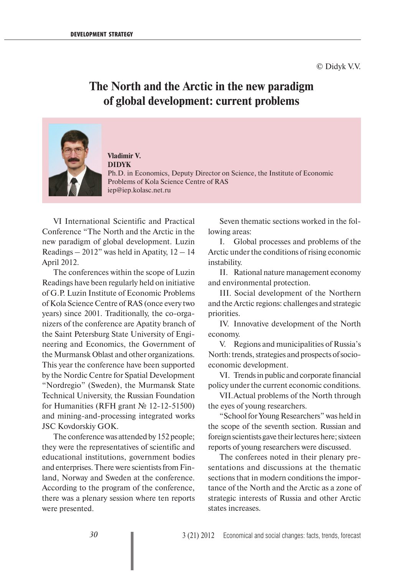## **The North and the Arctic in the new paradigm of global development: current problems**



**Vladimir V. DIDYK** Ph.D. in Economics, Deputy Director on Science, the Institute of Economic Problems of Kola Science Centre of RAS iep@iep.kolasc.net.ru

VI International Scientific and Practical Conference "The North and the Arctic in the new paradigm of global development. Luzin Readings  $-2012$ " was held in Apatity,  $12 - 14$ April 2012.

The conferences within the scope of Luzin Readings have been regularly held on initiative of G.P. Luzin Institute of Economic Problems of Kola Science Centre of RAS (once every two years) since 2001. Traditionally, the co-organizers of the conference are Apatity branch of the Saint Petersburg State University of Engineering and Economics, the Government of the Murmansk Oblast and other organizations. This year the conference have been supported by the Nordic Centre for Spatial Development "Nordregio" (Sweden), the Murmansk State Technical University, the Russian Foundation for Humanities (RFH grant № 12-12-51500) and mining-and-processing integrated works JSC Kovdorskiy GOK.

The conference was attended by 152 people; they were the representatives of scientific and educational institutions, government bodies and enterprises. There were scientists from Finland, Norway and Sweden at the conference. According to the program of the conference, there was a plenary session where ten reports were presented.

Seven thematic sections worked in the following areas:

I. Global processes and problems of the Arctic under the conditions of rising economic instability.

II. Rational nature management economy and environmental protection.

III. Social development of the Northern and the Arctic regions: challenges and strategic priorities.

IV. Innovative development of the North economy.

V. Regions and municipalities of Russia's North: trends, strategies and prospects of socioeconomic development.

VI. Trends in public and corporate financial policy under the current economic conditions.

VII. Actual problems of the North through the eyes of young researchers.

"School for Young Researchers" was held in the scope of the seventh section. Russian and foreign scientists gave their lectures here; sixteen reports of young researchers were discussed.

The conferees noted in their plenary presentations and discussions at the thematic sections that in modern conditions the importance of the North and the Arctic as a zone of strategic interests of Russia and other Arctic states increases.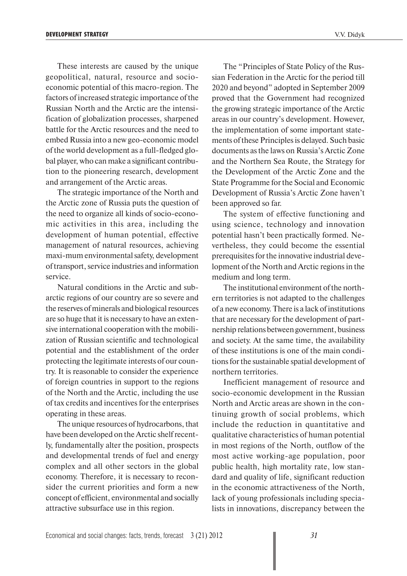These interests are caused by the unique geopolitical, natural, resource and socioeconomic potential of this macro-region. The factors of increased strategic importance of the Russian North and the Arctic are the intensification of globalization processes, sharpened battle for the Arctic resources and the need to embed Russia into a new geo-economic model of the world development as a full-fledged global player, who can make a significant contribution to the pioneering research, development and arrangement of the Arctic areas.

The strategic importance of the North and the Arctic zone of Russia puts the question of the need to organize all kinds of socio-economic activities in this area, including the development of human potential, effective management of natural resources, achieving maxi-mum environmental safety, development of transport, service industries and information service.

Natural conditions in the Arctic and subarctic regions of our country are so severe and the reserves of minerals and biological resources are so huge that it is necessary to have an extensive international cooperation with the mobilization of Russian scientific and technological potential and the establishment of the order protecting the legitimate interests of our country. It is reasonable to consider the experience of foreign countries in support to the regions of the North and the Arctic, including the use of tax credits and incentives for the enterprises operating in these areas.

The unique resources of hydrocarbons, that have been developed on the Arctic shelf recently, fundamentally alter the position, prospects and developmental trends of fuel and energy complex and all other sectors in the global economy. Therefore, it is necessary to reconsider the current priorities and form a new concept of efficient, environmental and socially attractive subsurface use in this region.

The "Principles of State Policy of the Russian Federation in the Arctic for the period till 2020 and beyond" adopted in September 2009 proved that the Government had recognized the growing strategic importance of the Arctic areas in our country's development. However, the implementation of some important statements of these Principles is delayed. Such basic documents as the laws on Russia's Arctic Zone and the Northern Sea Route, the Strategy for the Development of the Arctic Zone and the State Programme for the Social and Economic Development of Russia's Arctic Zone haven't been approved so far.

The system of effective functioning and using science, technology and innovation potential hasn't been practically formed. Nevertheless, they could become the essential prerequisites for the innovative industrial development of the North and Arctic regions in the medium and long term.

The institutional environment of the northern territories is not adapted to the challenges of a new economy. There is a lack of institutions that are necessary for the development of partnership relations between government, business and society. At the same time, the availability of these institutions is one of the main conditions for the sustainable spatial development of northern territories.

Inefficient management of resource and socio-economic development in the Russian North and Arctic areas are shown in the continuing growth of social problems, which include the reduction in quantitative and qualitative characteristics of human potential in most regions of the North, outflow of the most active working-age population, poor public health, high mortality rate, low standard and quality of life, significant reduction in the economic attractiveness of the North, lack of young professionals including specialists in innovations, discrepancy between the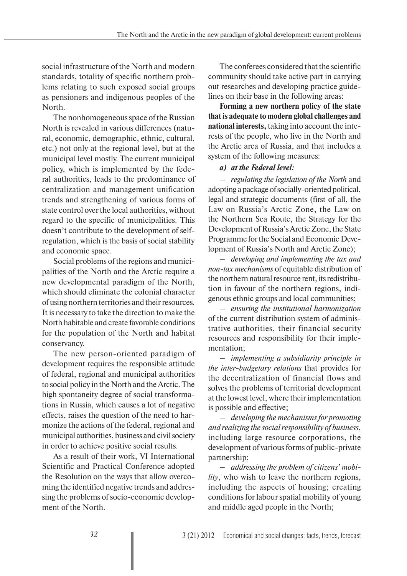social infrastructure of the North and modern standards, totality of specific northern problems relating to such exposed social groups as pensioners and indigenous peoples of the North.

The nonhomogeneous space of the Russian North is revealed in various differences (natural, economic, demographic, ethnic, cultural, etc.) not only at the regional level, but at the municipal level mostly. The current municipal policy, which is implemented by the federal authorities, leads to the predominance of centralization and management unification trends and strengthening of various forms of state control over the local authorities, without regard to the specific of municipalities. This doesn't contribute to the development of selfregulation, which is the basis of social stability and economic space.

Social problems of the regions and municipalities of the North and the Arctic require a new developmental paradigm of the North, which should eliminate the colonial character of using northern territories and their resources. It is necessary to take the direction to make the North habitable and create favorable conditions for the population of the North and habitat conservancy.

The new person-oriented paradigm of development requires the responsible attitude of federal, regional and municipal authorities to social policy in the North and the Arctic. The high spontaneity degree of social transformations in Russia, which causes a lot of negative effects, raises the question of the need to harmonize the actions of the federal, regional and municipal authorities, business and civil society in order to achieve positive social results.

As a result of their work, VI International Scientific and Practical Conference adopted the Resolution on the ways that allow overcoming the identified negative trends and addressing the problems of socio-economic development of the North.

The conferees considered that the scientific community should take active part in carrying out researches and developing practice guidelines on their base in the following areas:

**Forming a new northern policy of the state that is adequate to modern global challenges and national interests,** taking into account the interests of the people, who live in the North and the Arctic area of Russia, and that includes a system of the following measures:

## *а) at the Federal level:*

– *regulating the legislation of the North* and adopting a package of socially-oriented political, legal and strategic documents (first of all, the Law on Russia's Arctic Zone, the Law on the Northern Sea Route, the Strategy for the Development of Russia's Arctic Zone, the State Programme for the Social and Economic Development of Russia's North and Arctic Zone);

– *developing and implementing the tax and non-tax mechanisms* of equitable distribution of the northern natural resource rent, its redistribution in favour of the northern regions, indigenous ethnic groups and local communities;

– *ensuring the institutional harmonization* of the current distribution system of administrative authorities, their financial security resources and responsibility for their implementation;

– *implementing a subsidiarity principle in the inter-budgetary relations* that provides for the decentralization of financial flows and solves the problems of territorial development at the lowest level, where their implementation is possible and effective;

– *developing the mechanisms for promoting and realizing the social responsibility of business*, including large resource corporations, the development of various forms of public-private partnership;

– *addressing the problem of citizens' mobility*, who wish to leave the northern regions, including the aspects of housing; creating conditions for labour spatial mobility of young and middle aged people in the North;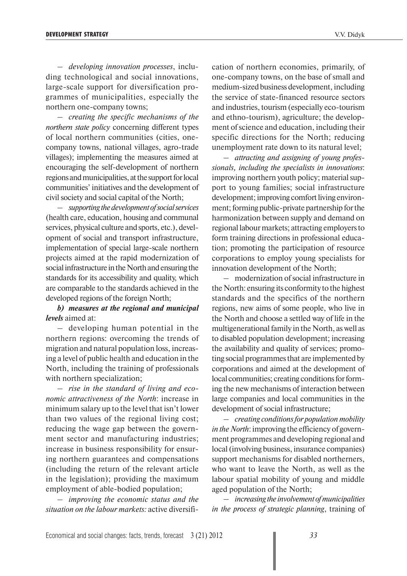– *developing innovation processes*, including technological and social innovations, large-scale support for diversification programmes of municipalities, especially the northern one-company towns;

– *creating the specific mechanisms of the northern state policy* concerning different types of local northern communities (cities, onecompany towns, national villages, agro-trade villages); implementing the measures aimed at encouraging the self-development of northern regions and municipalities, at the support for local communities' initiatives and the development of civil society and social capital of the North;

– *supporting the development of social services* (health care, education, housing and communal services, physical culture and sports, etc.), development of social and transport infrastructure, implementation of special large-scale northern projects aimed at the rapid modernization of social infrastructure in the North and ensuring the standards for its accessibility and quality, which are comparable to the standards achieved in the developed regions of the foreign North;

## *b) measures at the regional and municipal levels* aimed at:

– developing human potential in the northern regions: overcoming the trends of migration and natural population loss, increasing a level of public health and education in the North, including the training of professionals with northern specialization:

– *rise in the standard of living and economic attractiveness of the North*: increase in minimum salary up to the level that isn't lower than two values of the regional living cost; reducing the wage gap between the government sector and manufacturing industries; increase in business responsibility for ensuring northern guarantees and compensations (including the return of the relevant article in the legislation); providing the maximum employment of able-bodied population;

– *improving the economic status and the situation on the labour markets:* active diversification of northern economies, primarily, of one-company towns, on the base of small and medium-sized business development, including the service of state-financed resource sectors and industries, tourism (especially eco-tourism and ethno-tourism), agriculture; the development of science and education, including their specific directions for the North; reducing unemployment rate down to its natural level;

– *attracting and assigning of young professionals, including the specialists in innovations*: improving northern youth policy; material support to young families; social infrastructure development; improving comfort living environment; forming public-private partnership for the harmonization between supply and demand on regional labour markets; attracting employers to form training directions in professional education; promoting the participation of resource corporations to employ young specialists for innovation development of the North;

– modernization of social infrastructure in the North: ensuring its conformity to the highest standards and the specifics of the northern regions, new aims of some people, who live in the North and choose a settled way of life in the multigenerational family in the North, as well as to disabled population development; increasing the availability and quality of services; promoting social programmes that are implemented by corporations and aimed at the development of local communities; creating conditions for forming the new mechanisms of interaction between large companies and local communities in the development of social infrastructure;

– *creating conditions for population mobility in the North*: improving the efficiency of government programmes and developing regional and local (involving business, insurance companies) support mechanisms for disabled northerners, who want to leave the North, as well as the labour spatial mobility of young and middle aged population of the North;

– *increasing the involvement of municipalities in the process of strategic planning*, training of